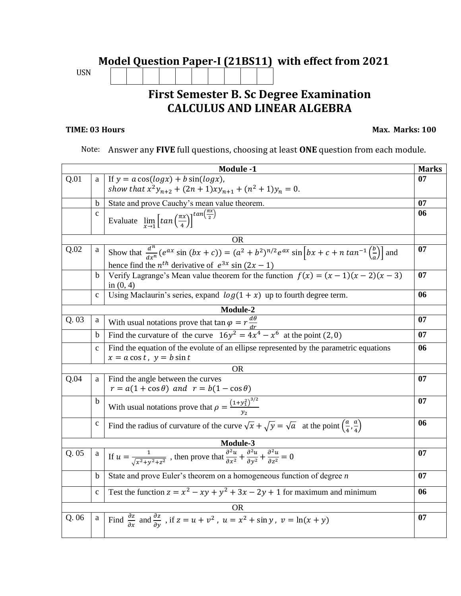## **Model Question Paper-I (21BS11) with effect from 2021**  USN **First Semester B. Sc Degree Examination**

## **CALCULUS AND LINEAR ALGEBRA**

## **TIME: 03 Hours Max. Marks: 100**

Note: Answer any **FIVE** full questions, choosing at least **ONE** question from each module.

|           |              | <b>Module -1</b>                                                                                                                                                            | <b>Marks</b> |  |  |  |
|-----------|--------------|-----------------------------------------------------------------------------------------------------------------------------------------------------------------------------|--------------|--|--|--|
| Q.01      | a            | If $y = a \cos(\log x) + b \sin(\log x)$ ,                                                                                                                                  |              |  |  |  |
|           |              | show that $x^2y_{n+2} + (2n+1)xy_{n+1} + (n^2+1)y_n = 0$ .                                                                                                                  |              |  |  |  |
|           | <sub>b</sub> | State and prove Cauchy's mean value theorem.                                                                                                                                |              |  |  |  |
|           | $\mathbf{c}$ | Evaluate $\lim_{x \to 1} \left[ \tan \left( \frac{\pi x}{4} \right) \right]^{t a n \left( \frac{\pi x}{2} \right)}$                                                         |              |  |  |  |
|           |              |                                                                                                                                                                             |              |  |  |  |
|           |              | OR.                                                                                                                                                                         |              |  |  |  |
| Q.02      | a            | Show that $\frac{d^n}{dx^n}(e^{ax}\sin(bx+c)) = (a^2+b^2)^{n/2}e^{ax}\sin(bx+c+n\tan^{-1}\left(\frac{b}{a}\right))$ and                                                     | 07           |  |  |  |
|           |              | hence find the $n^{th}$ derivative of $e^{3x}$ sin $(2x - 1)$                                                                                                               |              |  |  |  |
|           | b            | Verify Lagrange's Mean value theorem for the function $f(x) = (x - 1)(x - 2)(x - 3)$<br>07<br>in $(0, 4)$                                                                   |              |  |  |  |
|           | $\mathbf{C}$ | Using Maclaurin's series, expand $log(1 + x)$ up to fourth degree term.                                                                                                     | 06           |  |  |  |
|           |              | Module-2                                                                                                                                                                    |              |  |  |  |
| Q.03      | a            | With usual notations prove that $\tan \varphi = r \frac{d\theta}{dr}$                                                                                                       | 07           |  |  |  |
|           | b            | Find the curvature of the curve $16y^2 = 4x^4 - x^6$ at the point (2, 0)                                                                                                    | 07           |  |  |  |
|           | $\mathbf{c}$ | Find the equation of the evolute of an ellipse represented by the parametric equations<br>06                                                                                |              |  |  |  |
|           |              | $x = a \cos t$ , $y = b \sin t$                                                                                                                                             |              |  |  |  |
| <b>OR</b> |              |                                                                                                                                                                             |              |  |  |  |
| Q.04      | a            | Find the angle between the curves                                                                                                                                           | 07           |  |  |  |
|           |              | $r = a(1 + \cos \theta)$ and $r = b(1 - \cos \theta)$                                                                                                                       |              |  |  |  |
|           | $\mathbf b$  | With usual notations prove that $\rho = \frac{(1+y_1^2)^{3/2}}{y_0}$                                                                                                        | 07           |  |  |  |
|           | $\mathbf c$  | Find the radius of curvature of the curve $\sqrt{x} + \sqrt{y} = \sqrt{a}$ at the point $\left(\frac{a}{a}, \frac{a}{a}\right)$                                             | 06           |  |  |  |
|           |              |                                                                                                                                                                             |              |  |  |  |
| Module-3  |              |                                                                                                                                                                             |              |  |  |  |
| Q.05      | $\mathbf{a}$ | If $u = \frac{1}{\sqrt{x^2 + y^2 + z^2}}$ , then prove that $\frac{\partial^2 u}{\partial x^2} + \frac{\partial^2 u}{\partial y^2} + \frac{\partial^2 u}{\partial z^2} = 0$ | 07           |  |  |  |
|           | $\mathbf b$  | State and prove Euler's theorem on a homogeneous function of degree $n$                                                                                                     | 07           |  |  |  |
|           | $\mathbf{c}$ | Test the function $z = x^2 - xy + y^2 + 3x - 2y + 1$ for maximum and minimum                                                                                                | 06           |  |  |  |
| OR        |              |                                                                                                                                                                             |              |  |  |  |
| Q.06      | $\mathbf{a}$ | Find $\frac{\partial z}{\partial x}$ and $\frac{\partial z}{\partial y}$ , if $z = u + v^2$ , $u = x^2 + \sin y$ , $v = \ln(x + y)$                                         | 07           |  |  |  |
|           |              |                                                                                                                                                                             |              |  |  |  |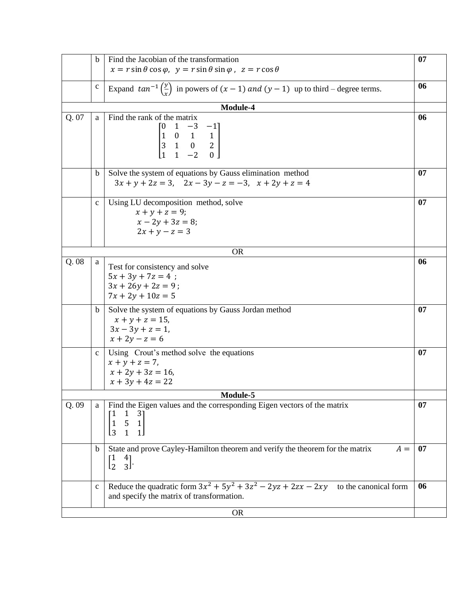|           | b            | Find the Jacobian of the transformation<br>07                                                                                                                                                   |    |  |  |  |
|-----------|--------------|-------------------------------------------------------------------------------------------------------------------------------------------------------------------------------------------------|----|--|--|--|
|           |              | $x = r \sin \theta \cos \varphi$ , $y = r \sin \theta \sin \varphi$ , $z = r \cos \theta$                                                                                                       |    |  |  |  |
|           | $\mathbf c$  | Expand $tan^{-1}\left(\frac{y}{x}\right)$ in powers of $(x - 1)$ and $(y - 1)$ up to third – degree terms.                                                                                      | 06 |  |  |  |
|           |              | Module-4                                                                                                                                                                                        |    |  |  |  |
| Q. 07     | a            | Find the rank of the matrix<br>$\begin{bmatrix} 0 & 1 & -3 & -1 \\ 1 & 0 & 1 & 1 \\ 3 & 1 & 0 & 2 \\ 1 & 1 & -2 & 0 \end{bmatrix}$                                                              | 06 |  |  |  |
|           | $\mathbf b$  | Solve the system of equations by Gauss elimination method<br>07<br>$3x + y + 2z = 3$ , $2x - 3y - z = -3$ , $x + 2y + z = 4$                                                                    |    |  |  |  |
|           | $\mathbf{C}$ | Using LU decomposition method, solve<br>$x + y + z = 9;$<br>$x - 2y + 3z = 8;$<br>$2x + y - z = 3$                                                                                              | 07 |  |  |  |
| <b>OR</b> |              |                                                                                                                                                                                                 |    |  |  |  |
| Q.08      | a            | Test for consistency and solve<br>$5x + 3y + 7z = 4$ ;<br>$3x + 26y + 2z = 9$ ;<br>$7x + 2y + 10z = 5$                                                                                          | 06 |  |  |  |
|           | $\mathbf b$  | Solve the system of equations by Gauss Jordan method<br>07<br>$x + y + z = 15$ ,<br>$3x - 3y + z = 1$ ,<br>$x + 2y - z = 6$                                                                     |    |  |  |  |
|           | $\mathbf{C}$ | Using Crout's method solve the equations<br>$x + y + z = 7$ ,<br>$x + 2y + 3z = 16$<br>$x + 3y + 4z = 22$                                                                                       | 07 |  |  |  |
| Module-5  |              |                                                                                                                                                                                                 |    |  |  |  |
| Q.09      | a            | Find the Eigen values and the corresponding Eigen vectors of the matrix<br>07<br>$\begin{bmatrix} 1 & 3 \\ 5 & 1 \end{bmatrix}$<br>$\begin{array}{c} 1 \\ 1 \end{array}$<br>$\overline{3}$<br>1 |    |  |  |  |
|           | $\mathbf b$  | State and prove Cayley-Hamilton theorem and verify the theorem for the matrix<br>$A =$<br>$\begin{bmatrix} 1 \\ 2 \end{bmatrix}$<br>$\frac{4}{3}$ .                                             |    |  |  |  |
|           | $\mathbf c$  | Reduce the quadratic form $3x^2 + 5y^2 + 3z^2 - 2yz + 2zx - 2xy$ to the canonical form<br>and specify the matrix of transformation.                                                             | 06 |  |  |  |
| <b>OR</b> |              |                                                                                                                                                                                                 |    |  |  |  |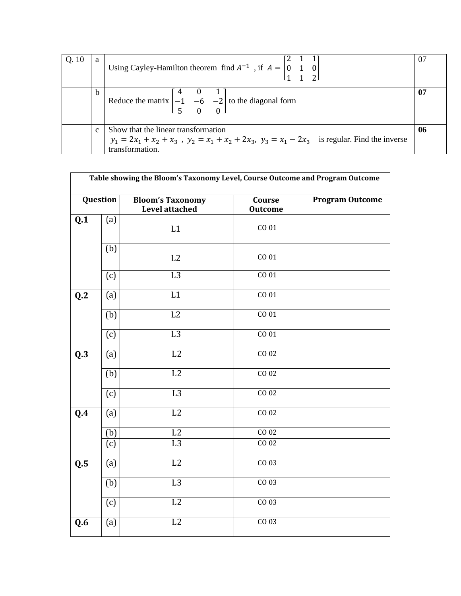| Q.10 | a             | Using Cayley-Hamilton theorem find $A^{-1}$ , if $A = \begin{bmatrix} 0 & 1 & 0 \\ 0 & 1 & 0 \end{bmatrix}$                                                     | 07 |  |
|------|---------------|-----------------------------------------------------------------------------------------------------------------------------------------------------------------|----|--|
|      | b             | Reduce the matrix $\begin{bmatrix} 4 & 0 & 1 \\ -1 & -6 & -2 \\ 5 & 0 & 0 \end{bmatrix}$ to the diagonal form                                                   | 07 |  |
|      | $\mathcal{C}$ | Show that the linear transformation<br>$y_1 = 2x_1 + x_2 + x_3$ , $y_2 = x_1 + x_2 + 2x_3$ , $y_3 = x_1 - 2x_3$ is regular. Find the inverse<br>transformation. |    |  |

|                            | Question         | <b>Bloom's Taxonomy</b><br><b>Level attached</b> | Course<br><b>Outcome</b> | <b>Program Outcome</b> |
|----------------------------|------------------|--------------------------------------------------|--------------------------|------------------------|
| Q.1                        | (a)              | L1                                               | CO 01                    |                        |
|                            | $\overline{(b)}$ | L2                                               | CO 01                    |                        |
|                            | (c)              | L3                                               | CO <sub>01</sub>         |                        |
| $\overline{\mathbf{Q}}$ .2 | (a)              | $\overline{L1}$                                  | CO <sub>01</sub>         |                        |
|                            | (b)              | L2                                               | CO 01                    |                        |
|                            | (c)              | L3                                               | CO <sub>01</sub>         |                        |
| Q.3                        | (a)              | $\overline{L2}$                                  | CO <sub>02</sub>         |                        |
|                            | (b)              | L2                                               | CO <sub>02</sub>         |                        |
|                            | (c)              | L3                                               | CO <sub>02</sub>         |                        |
| $\overline{Q.4}$           | (a)              | $\overline{L2}$                                  | CO <sub>02</sub>         |                        |
|                            | (b)              | L2                                               | CO <sub>02</sub>         |                        |
|                            | (c)              | L3                                               | CO <sub>02</sub>         |                        |
| $\overline{\mathbf{Q.5}}$  | (a)              | L2                                               | $CO$ 03                  |                        |
|                            | (b)              | L3                                               | $CO$ 03                  |                        |
|                            | (c)              | L2                                               | CO <sub>03</sub>         |                        |
| Q.6                        | (a)              | L2                                               | $CO$ 03                  |                        |